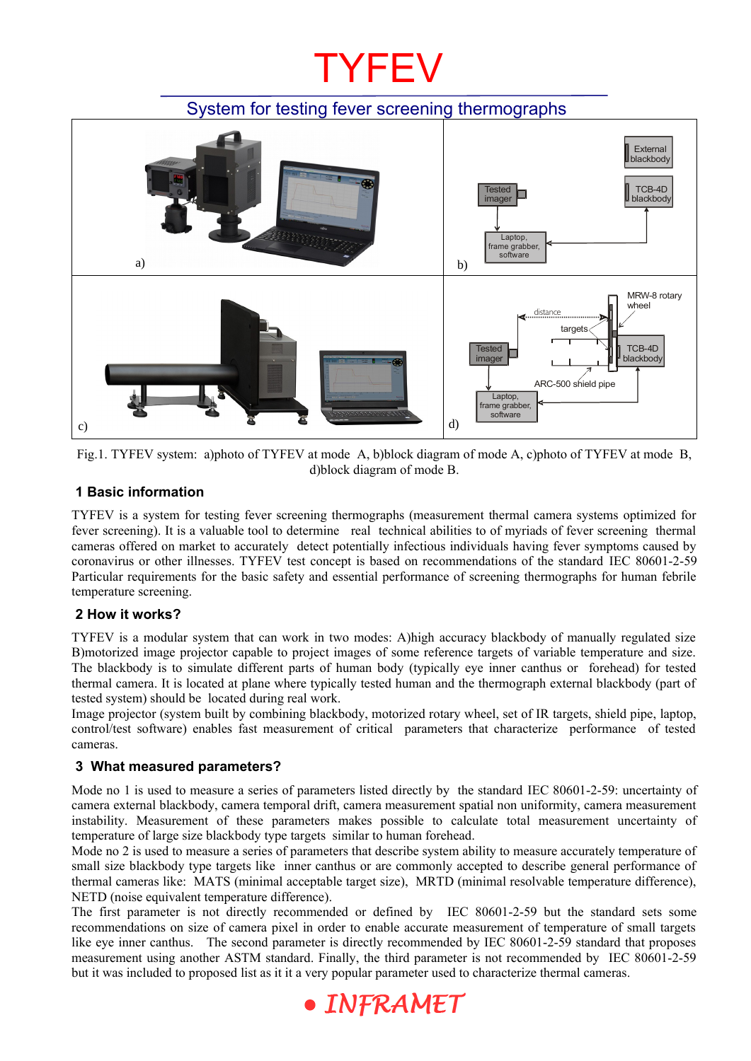## **TYFEV**

## System for testing fever screening thermographs





## **1 Basic information**

TYFEV is a system for testing fever screening thermographs (measurement thermal camera systems optimized for fever screening). It is a valuable tool to determine real technical abilities to of myriads of fever screening thermal cameras offered on market to accurately detect potentially infectious individuals having fever symptoms caused by coronavirus or other illnesses. TYFEV test concept is based on recommendations of the standard IEC 80601-2-59 Particular requirements for the basic safety and essential performance of screening thermographs for human febrile temperature screening.

## **2 How it works?**

TYFEV is a modular system that can work in two modes: A)high accuracy blackbody of manually regulated size B)motorized image projector capable to project images of some reference targets of variable temperature and size. The blackbody is to simulate different parts of human body (typically eye inner canthus or forehead) for tested thermal camera. It is located at plane where typically tested human and the thermograph external blackbody (part of tested system) should be located during real work.

Image projector (system built by combining blackbody, motorized rotary wheel, set of IR targets, shield pipe, laptop, control/test software) enables fast measurement of critical parameters that characterize performance of tested cameras.

## **3 What measured parameters?**

Mode no 1 is used to measure a series of parameters listed directly by the standard IEC 80601-2-59: uncertainty of camera external blackbody, camera temporal drift, camera measurement spatial non uniformity, camera measurement instability. Measurement of these parameters makes possible to calculate total measurement uncertainty of temperature of large size blackbody type targets similar to human forehead.

Mode no 2 is used to measure a series of parameters that describe system ability to measure accurately temperature of small size blackbody type targets like inner canthus or are commonly accepted to describe general performance of thermal cameras like: MATS (minimal acceptable target size), MRTD (minimal resolvable temperature difference), NETD (noise equivalent temperature difference).

The first parameter is not directly recommended or defined by IEC 80601-2-59 but the standard sets some recommendations on size of camera pixel in order to enable accurate measurement of temperature of small targets like eye inner canthus. The second parameter is directly recommended by IEC 80601-2-59 standard that proposes measurement using another ASTM standard. Finally, the third parameter is not recommended by IEC 80601-2-59 but it was included to proposed list as it it a very popular parameter used to characterize thermal cameras.

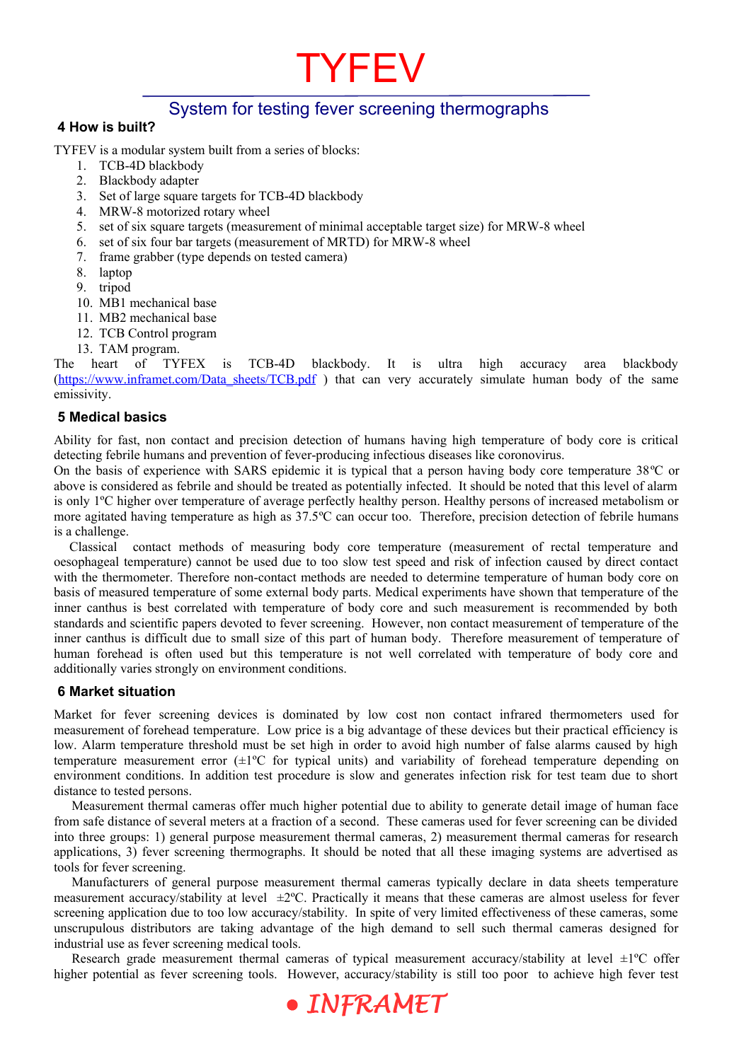## System for testing fever screening thermographs

**TYFEV** 

#### **4 How is built?**

TYFEV is a modular system built from a series of blocks:

- 1. TCB-4D blackbody
- 2. Blackbody adapter
- 3. Set of large square targets for TCB-4D blackbody
- 4. MRW-8 motorized rotary wheel
- 5. set of six square targets (measurement of minimal acceptable target size) for MRW-8 wheel
- 6. set of six four bar targets (measurement of MRTD) for MRW-8 wheel
- 7. frame grabber (type depends on tested camera)
- 8. laptop
- 9. tripod
- 10. MB1 mechanical base
- 11. MB2 mechanical base
- 12. TCB Control program
- 13. TAM program.

heart of TYFEX is TCB-4D blackbody. It is ultra high accuracy area blackbody (https://www.inframet.com/Data\_sheets/TCB.pdf) that can very accurately simulate human body of the same emissivity.

#### **5 Medical basics**

Ability for fast, non contact and precision detection of humans having high temperature of body core is critical detecting febrile humans and prevention of fever-producing infectious diseases like coronovirus.

On the basis of experience with SARS epidemic it is typical that a person having body core temperature 38ºC or above is considered as febrile and should be treated as potentially infected. It should be noted that this level of alarm is only 1ºC higher over temperature of average perfectly healthy person. Healthy persons of increased metabolism or more agitated having temperature as high as 37.5ºC can occur too. Therefore, precision detection of febrile humans is a challenge.

 Classical contact methods of measuring body core temperature (measurement of rectal temperature and oesophageal temperature) cannot be used due to too slow test speed and risk of infection caused by direct contact with the thermometer. Therefore non-contact methods are needed to determine temperature of human body core on basis of measured temperature of some external body parts. Medical experiments have shown that temperature of the inner canthus is best correlated with temperature of body core and such measurement is recommended by both standards and scientific papers devoted to fever screening. However, non contact measurement of temperature of the inner canthus is difficult due to small size of this part of human body. Therefore measurement of temperature of human forehead is often used but this temperature is not well correlated with temperature of body core and additionally varies strongly on environment conditions.

### **6 Market situation**

Market for fever screening devices is dominated by low cost non contact infrared thermometers used for measurement of forehead temperature. Low price is a big advantage of these devices but their practical efficiency is low. Alarm temperature threshold must be set high in order to avoid high number of false alarms caused by high temperature measurement error  $(\pm 1^{\circ}C)$  for typical units) and variability of forehead temperature depending on environment conditions. In addition test procedure is slow and generates infection risk for test team due to short distance to tested persons.

Measurement thermal cameras offer much higher potential due to ability to generate detail image of human face from safe distance of several meters at a fraction of a second. These cameras used for fever screening can be divided into three groups: 1) general purpose measurement thermal cameras, 2) measurement thermal cameras for research applications, 3) fever screening thermographs. It should be noted that all these imaging systems are advertised as tools for fever screening.

Manufacturers of general purpose measurement thermal cameras typically declare in data sheets temperature measurement accuracy/stability at level  $\pm 2^{\circ}$ C. Practically it means that these cameras are almost useless for fever screening application due to too low accuracy/stability. In spite of very limited effectiveness of these cameras, some unscrupulous distributors are taking advantage of the high demand to sell such thermal cameras designed for industrial use as fever screening medical tools.

Research grade measurement thermal cameras of typical measurement accuracy/stability at level  $\pm 1$ <sup>o</sup>C offer higher potential as fever screening tools. However, accuracy/stability is still too poor to achieve high fever test